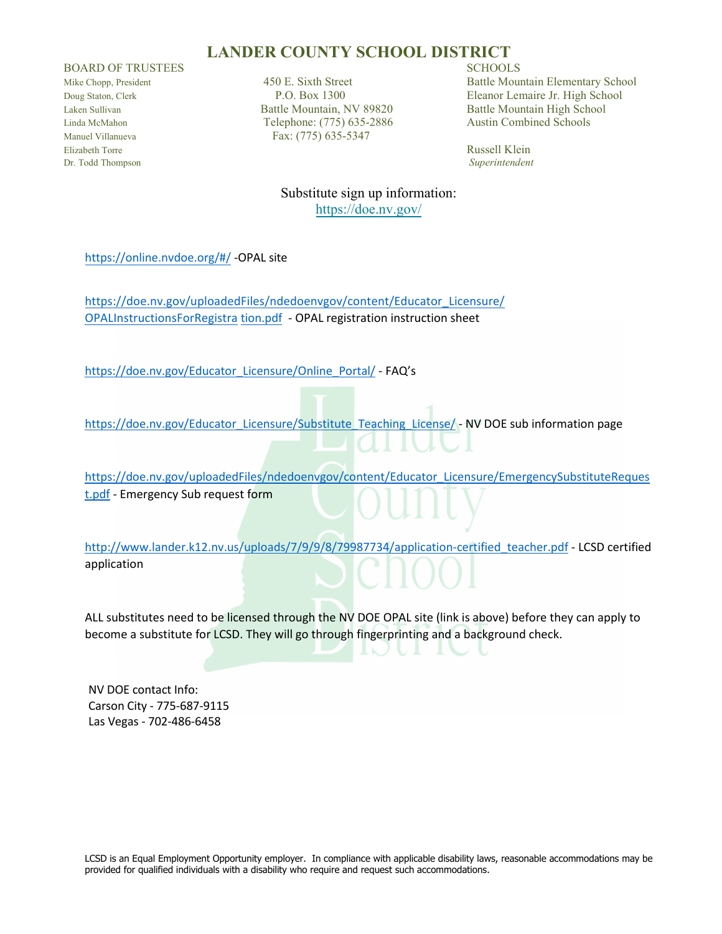#### **LANDER COUNTY SCHOOL DISTRICT**

BOARD OF TRUSTEES SCHOOLS

Elizabeth Torre Russell Klein Dr. Todd Thompson *Superintendent*

Laken Sullivan Battle Mountain, NV 89820 Battle Mountain High School Linda McMahon Telephone: (775) 635-2886 Austin Combined Schools Manuel Villanueva<br>
Fax: (775) 635-5347

Mike Chopp, President 450 E. Sixth Street Battle Mountain Elementary School<br>  $P.O. Box 1300$  Eleanor Lemaire Jr. High School Doug Staton, Clerk P.O. Box 1300 Eleanor Lemaire Jr. High School

Substitute sign up information: <https://doe.nv.gov/>

<https://online.nvdoe.org/#/> -OPAL site

[https://doe.nv.gov/uploadedFiles/ndedoenvgov/content/Educator\\_Licensure/](https://doe.nv.gov/uploadedFiles/ndedoenvgov/content/Educator_Licensure/OPALInstructionsForRegistration.pdf) [OPALInst](https://doe.nv.gov/uploadedFiles/ndedoenvgov/content/Educator_Licensure/OPALInstructionsForRegistration.pdf)ructionsForRegistra tion.pdf - OPAL registration instruction sheet

[https://doe.nv.gov/Educator\\_Licensure/Online\\_Portal/](https://doe.nv.gov/Educator_Licensure/Online_Portal/) - FAQ's

[https://doe.nv.gov/Educator\\_Licensure/Substitute\\_Teaching\\_License/](https://doe.nv.gov/Educator_Licensure/Substitute_Teaching_License/) - NV DOE sub information page

[https://doe.nv.gov/uploadedFiles/ndedoenvgov/content/Educator\\_Licensure/EmergencySubstituteReques](https://doe.nv.gov/uploadedFiles/ndedoenvgov/content/Educator_Licensure/EmergencySubstituteRequest.pdf) [t.pdf -](https://doe.nv.gov/uploadedFiles/ndedoenvgov/content/Educator_Licensure/EmergencySubstituteRequest.pdf) Emergency Sub request form

[http://www.lander.k12.nv.us/uploads/7/9/9/8/79987734/application-certified\\_teacher.pdf](http://www.lander.k12.nv.us/uploads/7/9/9/8/79987734/application-certified_teacher.pdf) - LCSD certified application

ALL substitutes need to be licensed through the NV DOE OPAL site (link is above) before they can apply to become a substitute for LCSD. They will go through fingerprinting and a background check.

NV DOE contact Info: Carson City - 775-687-9115 Las Vegas - 702-486-6458

LCSD is an Equal Employment Opportunity employer. In compliance with applicable disability laws, reasonable accommodations may be provided for qualified individuals with a disability who require and request such accommodations.